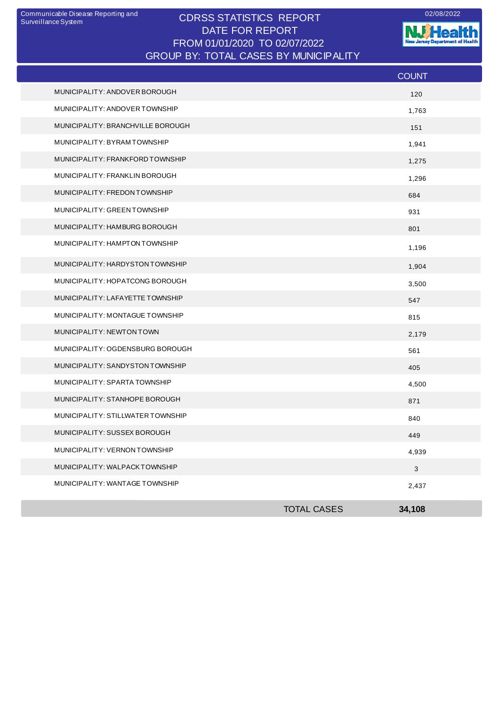## CDRSS STATISTICS REPORT Communicable Disease Reporting and 02/08/2022 DATE FOR REPORT FROM 01/01/2020 TO 02/07/2022 GROUP BY: TOTAL CASES BY MUNICIPALITY

**W**Health Jersey Departm est of Health

|                                   |                    | <b>COUNT</b> |
|-----------------------------------|--------------------|--------------|
| MUNICIPALITY: ANDOVER BOROUGH     |                    | 120          |
| MUNICIPALITY: ANDOVER TOWNSHIP    |                    | 1,763        |
| MUNICIPALITY: BRANCHVILLE BOROUGH |                    | 151          |
| MUNICIPALITY: BYRAMTOWNSHIP       |                    | 1,941        |
| MUNICIPALITY: FRANKFORD TOWNSHIP  |                    | 1,275        |
| MUNICIPALITY: FRANKLIN BOROUGH    |                    | 1,296        |
| MUNICIPALITY: FREDON TOWNSHIP     |                    | 684          |
| MUNICIPALITY: GREEN TOWNSHIP      |                    | 931          |
| MUNICIPALITY: HAMBURG BOROUGH     |                    | 801          |
| MUNICIPALITY: HAMPTON TOWNSHIP    |                    | 1,196        |
| MUNICIPALITY: HARDYSTON TOWNSHIP  |                    | 1,904        |
| MUNICIPALITY: HOPATCONG BOROUGH   |                    | 3,500        |
| MUNICIPALITY: LAFAYETTE TOWNSHIP  |                    | 547          |
| MUNICIPALITY: MONTAGUE TOWNSHIP   |                    | 815          |
| MUNICIPALITY: NEWTON TOWN         |                    | 2,179        |
| MUNICIPALITY: OGDENSBURG BOROUGH  |                    | 561          |
| MUNICIPALITY: SANDYSTON TOWNSHIP  |                    | 405          |
| MUNICIPALITY: SPARTA TOWNSHIP     |                    | 4,500        |
| MUNICIPALITY: STANHOPE BOROUGH    |                    | 871          |
| MUNICIPALITY: STILLWATER TOWNSHIP |                    | 840          |
| MUNICIPALITY: SUSSEX BOROUGH      |                    | 449          |
| MUNICIPALITY: VERNON TOWNSHIP     |                    | 4,939        |
| MUNICIPALITY: WALPACKTOWNSHIP     |                    | $\mathbf{3}$ |
| MUNICIPALITY: WANTAGE TOWNSHIP    |                    | 2,437        |
|                                   | <b>TOTAL CASES</b> | 34,108       |